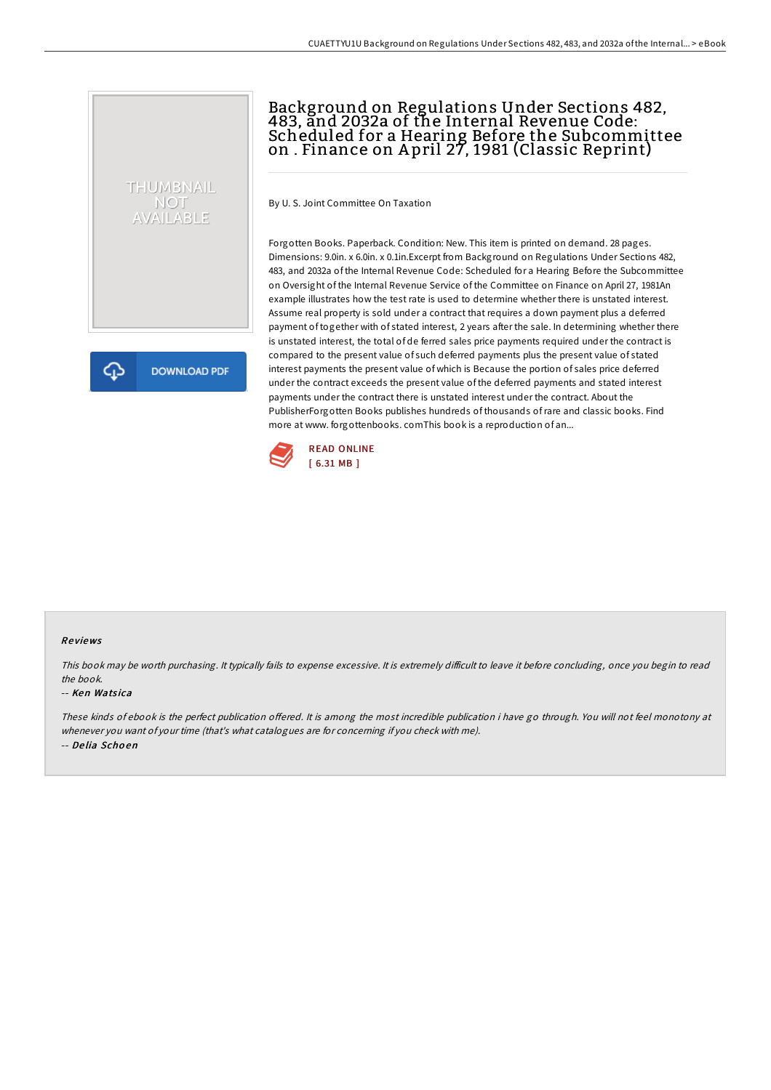# Background on Regulations Under Sections 482, 483, and 2032a of the Internal Revenue Code: Scheduled for a Hearing Before the Subcommittee on . Finance on A pril 27, 1981 (Classic Reprint)

By U. S. Joint Committee On Taxation

Forgotten Books. Paperback. Condition: New. This item is printed on demand. 28 pages. Dimensions: 9.0in. x 6.0in. x 0.1in.Excerpt from Background on Regulations Under Sections 482, 483, and 2032a of the Internal Revenue Code: Scheduled for a Hearing Before the Subcommittee on Oversight of the Internal Revenue Service of the Committee on Finance on April 27, 1981An example illustrates how the test rate is used to determine whether there is unstated interest. Assume real property is sold under a contract that requires a down payment plus a deferred payment of together with of stated interest, 2 years after the sale. In determining whether there is unstated interest, the total of de ferred sales price payments required under the contract is compared to the present value of such deferred payments plus the present value of stated interest payments the present value of which is Because the portion of sales price deferred under the contract exceeds the present value of the deferred payments and stated interest payments under the contract there is unstated interest under the contract. About the PublisherForgotten Books publishes hundreds of thousands ofrare and classic books. Find more at www. forgottenbooks. comThis book is a reproduction of an...



### Re views

This book may be worth purchasing. It typically fails to expense excessive. It is extremely difficult to leave it before concluding, once you begin to read the book.

#### -- Ken Watsica

THUMBNAIL NOT<br>AVAILABLE

**DOWNLOAD PDF** 

ረጉ

These kinds of ebook is the perfect publication offered. It is among the most incredible publication i have go through. You will not feel monotony at whenever you want of your time (that's what catalogues are for concerning if you check with me). -- De lia Scho en